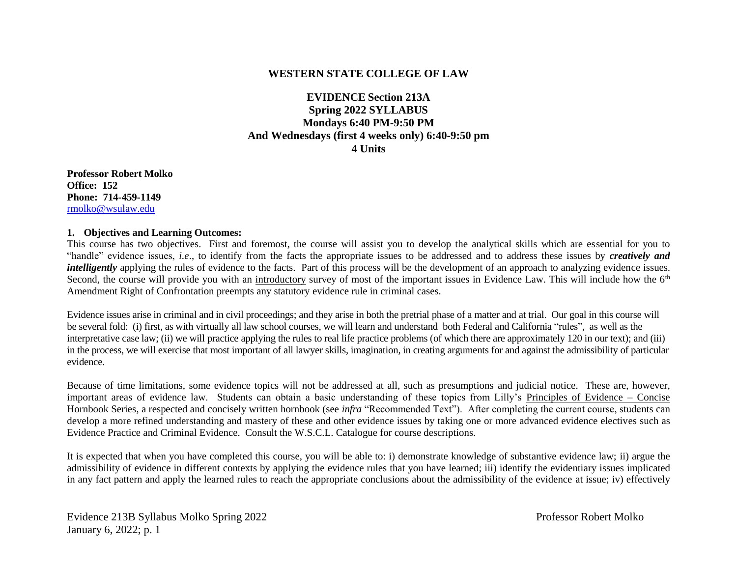#### **WESTERN STATE COLLEGE OF LAW**

## **EVIDENCE Section 213A Spring 2022 SYLLABUS Mondays 6:40 PM-9:50 PM And Wednesdays (first 4 weeks only) 6:40-9:50 pm 4 Units**

**Professor Robert Molko Office: 152 Phone: 714-459-1149** [rmolko@wsulaw.edu](mailto:rmolko@wsulaw.edu)

#### **1. Objectives and Learning Outcomes:**

This course has two objectives. First and foremost, the course will assist you to develop the analytical skills which are essential for you to "handle" evidence issues, *i.e*., to identify from the facts the appropriate issues to be addressed and to address these issues by *creatively and intelligently* applying the rules of evidence to the facts. Part of this process will be the development of an approach to analyzing evidence issues. Second, the course will provide you with an introductory survey of most of the important issues in Evidence Law. This will include how the 6<sup>th</sup> Amendment Right of Confrontation preempts any statutory evidence rule in criminal cases.

Evidence issues arise in criminal and in civil proceedings; and they arise in both the pretrial phase of a matter and at trial. Our goal in this course will be several fold: (i) first, as with virtually all law school courses, we will learn and understand both Federal and California "rules", as well as the interpretative case law; (ii) we will practice applying the rules to real life practice problems (of which there are approximately 120 in our text); and (iii) in the process, we will exercise that most important of all lawyer skills, imagination, in creating arguments for and against the admissibility of particular evidence.

Because of time limitations, some evidence topics will not be addressed at all, such as presumptions and judicial notice. These are, however, important areas of evidence law. Students can obtain a basic understanding of these topics from Lilly's Principles of Evidence – Concise Hornbook Series, a respected and concisely written hornbook (see *infra* "Recommended Text"). After completing the current course, students can develop a more refined understanding and mastery of these and other evidence issues by taking one or more advanced evidence electives such as Evidence Practice and Criminal Evidence. Consult the W.S.C.L. Catalogue for course descriptions.

It is expected that when you have completed this course, you will be able to: i) demonstrate knowledge of substantive evidence law; ii) argue the admissibility of evidence in different contexts by applying the evidence rules that you have learned; iii) identify the evidentiary issues implicated in any fact pattern and apply the learned rules to reach the appropriate conclusions about the admissibility of the evidence at issue; iv) effectively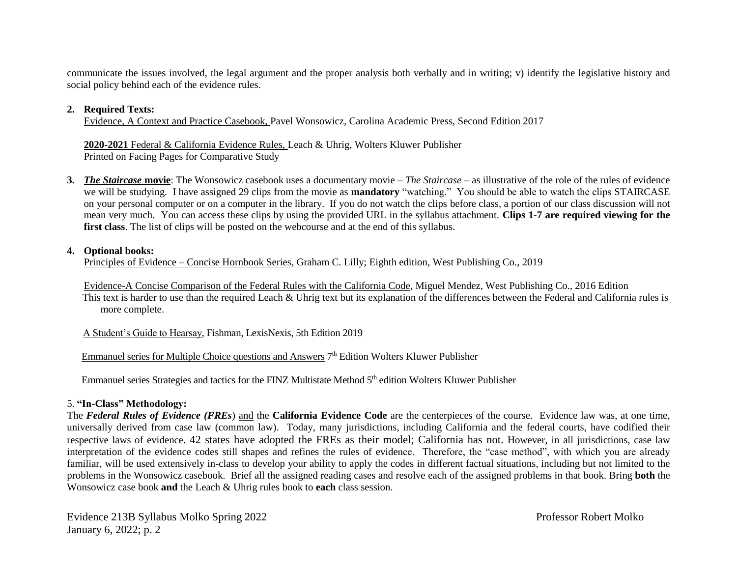communicate the issues involved, the legal argument and the proper analysis both verbally and in writing; v) identify the legislative history and social policy behind each of the evidence rules.

#### **2. Required Texts:**

Evidence, A Context and Practice Casebook, Pavel Wonsowicz, Carolina Academic Press, Second Edition 2017

**2020-2021** Federal & California Evidence Rules, Leach & Uhrig, Wolters Kluwer Publisher Printed on Facing Pages for Comparative Study

**3.** *The Staircase* **movie**: The Wonsowicz casebook uses a documentary movie – *The Staircase* – as illustrative of the role of the rules of evidence we will be studying. I have assigned 29 clips from the movie as **mandatory** "watching." You should be able to watch the clips STAIRCASE on your personal computer or on a computer in the library. If you do not watch the clips before class, a portion of our class discussion will not mean very much. You can access these clips by using the provided URL in the syllabus attachment. **Clips 1-7 are required viewing for the first class**. The list of clips will be posted on the webcourse and at the end of this syllabus.

#### **4. Optional books:**

Principles of Evidence – Concise Hornbook Series, Graham C. Lilly; Eighth edition, West Publishing Co., 2019

Evidence-A Concise Comparison of the Federal Rules with the California Code, Miguel Mendez, West Publishing Co., 2016 Edition This text is harder to use than the required Leach & Uhrig text but its explanation of the differences between the Federal and California rules is more complete.

A Student's Guide to Hearsay, Fishman, LexisNexis, 5th Edition 2019

Emmanuel series for Multiple Choice questions and Answers 7<sup>th</sup> Edition Wolters Kluwer Publisher

Emmanuel series Strategies and tactics for the FINZ Multistate Method 5<sup>th</sup> edition Wolters Kluwer Publisher

## 5. **"In-Class" Methodology:**

The *Federal Rules of Evidence (FREs*) and the **California Evidence Code** are the centerpieces of the course. Evidence law was, at one time, universally derived from case law (common law). Today, many jurisdictions, including California and the federal courts, have codified their respective laws of evidence. 42 states have adopted the FREs as their model; California has not. However, in all jurisdictions, case law interpretation of the evidence codes still shapes and refines the rules of evidence. Therefore, the "case method", with which you are already familiar, will be used extensively in-class to develop your ability to apply the codes in different factual situations, including but not limited to the problems in the Wonsowicz casebook. Brief all the assigned reading cases and resolve each of the assigned problems in that book. Bring **both** the Wonsowicz case book **and** the Leach & Uhrig rules book to **each** class session.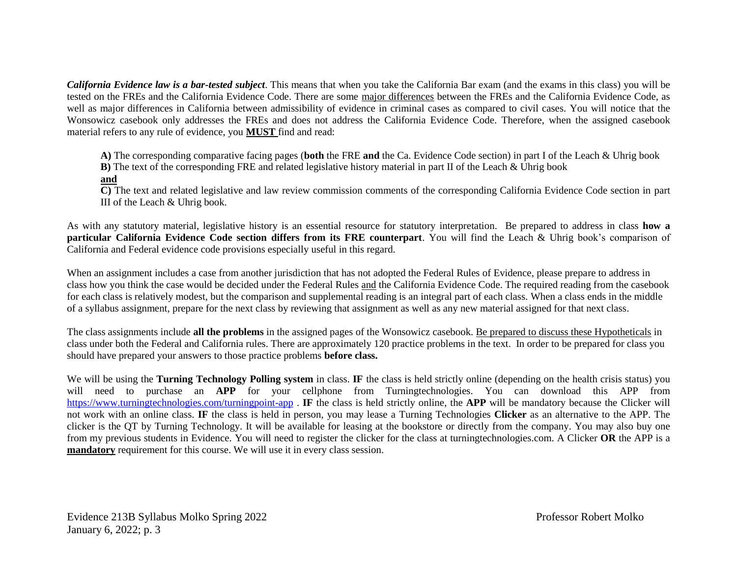*California Evidence law is a bar-tested subject*. This means that when you take the California Bar exam (and the exams in this class) you will be tested on the FREs and the California Evidence Code. There are some major differences between the FREs and the California Evidence Code, as well as major differences in California between admissibility of evidence in criminal cases as compared to civil cases. You will notice that the Wonsowicz casebook only addresses the FREs and does not address the California Evidence Code. Therefore, when the assigned casebook material refers to any rule of evidence, you **MUST** find and read:

**A)** The corresponding comparative facing pages (**both** the FRE **and** the Ca. Evidence Code section) in part I of the Leach & Uhrig book

**B)** The text of the corresponding FRE and related legislative history material in part II of the Leach & Uhrig book

#### **and**

**C)** The text and related legislative and law review commission comments of the corresponding California Evidence Code section in part III of the Leach & Uhrig book.

As with any statutory material, legislative history is an essential resource for statutory interpretation. Be prepared to address in class **how a particular California Evidence Code section differs from its FRE counterpart**. You will find the Leach & Uhrig book's comparison of California and Federal evidence code provisions especially useful in this regard.

When an assignment includes a case from another jurisdiction that has not adopted the Federal Rules of Evidence, please prepare to address in class how you think the case would be decided under the Federal Rules and the California Evidence Code. The required reading from the casebook for each class is relatively modest, but the comparison and supplemental reading is an integral part of each class. When a class ends in the middle of a syllabus assignment, prepare for the next class by reviewing that assignment as well as any new material assigned for that next class.

The class assignments include **all the problems** in the assigned pages of the Wonsowicz casebook. Be prepared to discuss these Hypotheticals in class under both the Federal and California rules. There are approximately 120 practice problems in the text. In order to be prepared for class you should have prepared your answers to those practice problems **before class.**

We will be using the **Turning Technology Polling system** in class. **IF** the class is held strictly online (depending on the health crisis status) you will need to purchase an **APP** for your cellphone from Turningtechnologies. You can download this APP from <https://www.turningtechnologies.com/turningpoint-app> . **IF** the class is held strictly online, the **APP** will be mandatory because the Clicker will not work with an online class. **IF** the class is held in person, you may lease a Turning Technologies **Clicker** as an alternative to the APP. The clicker is the QT by Turning Technology. It will be available for leasing at the bookstore or directly from the company. You may also buy one from my previous students in Evidence. You will need to register the clicker for the class at turningtechnologies.com. A Clicker **OR** the APP is a **mandatory** requirement for this course. We will use it in every class session.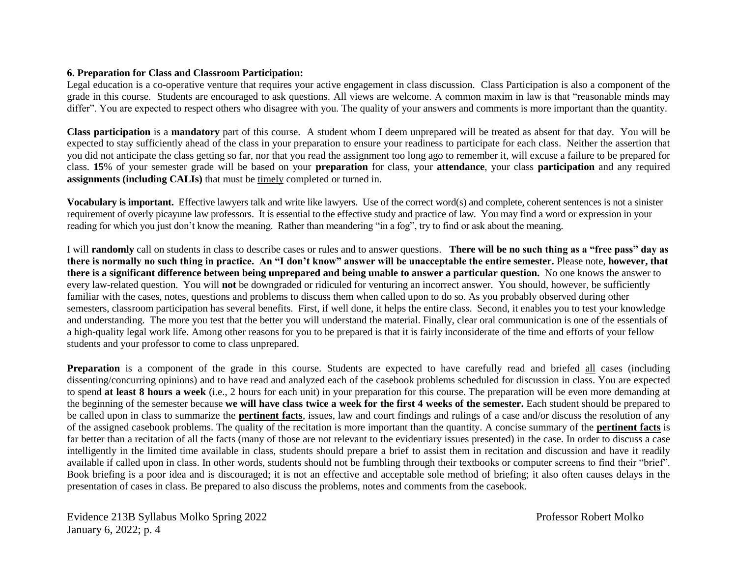#### **6. Preparation for Class and Classroom Participation:**

Legal education is a co-operative venture that requires your active engagement in class discussion. Class Participation is also a component of the grade in this course. Students are encouraged to ask questions. All views are welcome. A common maxim in law is that "reasonable minds may differ". You are expected to respect others who disagree with you. The quality of your answers and comments is more important than the quantity.

**Class participation** is a **mandatory** part of this course. A student whom I deem unprepared will be treated as absent for that day. You will be expected to stay sufficiently ahead of the class in your preparation to ensure your readiness to participate for each class. Neither the assertion that you did not anticipate the class getting so far, nor that you read the assignment too long ago to remember it, will excuse a failure to be prepared for class. **15**% of your semester grade will be based on your **preparation** for class, your **attendance**, your class **participation** and any required **assignments (including CALIs)** that must be timely completed or turned in.

**Vocabulary is important.** Effective lawyers talk and write like lawyers. Use of the correct word(s) and complete, coherent sentences is not a sinister requirement of overly picayune law professors. It is essential to the effective study and practice of law. You may find a word or expression in your reading for which you just don't know the meaning. Rather than meandering "in a fog", try to find or ask about the meaning.

I will **randomly** call on students in class to describe cases or rules and to answer questions. **There will be no such thing as a "free pass" day as there is normally no such thing in practice. An "I don't know" answer will be unacceptable the entire semester.** Please note, **however, that there is a significant difference between being unprepared and being unable to answer a particular question.** No one knows the answer to every law-related question. You will **not** be downgraded or ridiculed for venturing an incorrect answer. You should, however, be sufficiently familiar with the cases, notes, questions and problems to discuss them when called upon to do so. As you probably observed during other semesters, classroom participation has several benefits. First, if well done, it helps the entire class. Second, it enables you to test your knowledge and understanding. The more you test that the better you will understand the material. Finally, clear oral communication is one of the essentials of a high-quality legal work life. Among other reasons for you to be prepared is that it is fairly inconsiderate of the time and efforts of your fellow students and your professor to come to class unprepared.

**Preparation** is a component of the grade in this course. Students are expected to have carefully read and briefed all cases (including dissenting/concurring opinions) and to have read and analyzed each of the casebook problems scheduled for discussion in class. You are expected to spend **at least 8 hours a week** (i.e., 2 hours for each unit) in your preparation for this course. The preparation will be even more demanding at the beginning of the semester because **we will have class twice a week for the first 4 weeks of the semester.** Each student should be prepared to be called upon in class to summarize the **pertinent facts**, issues, law and court findings and rulings of a case and/or discuss the resolution of any of the assigned casebook problems. The quality of the recitation is more important than the quantity. A concise summary of the **pertinent facts** is far better than a recitation of all the facts (many of those are not relevant to the evidentiary issues presented) in the case. In order to discuss a case intelligently in the limited time available in class, students should prepare a brief to assist them in recitation and discussion and have it readily available if called upon in class. In other words, students should not be fumbling through their textbooks or computer screens to find their "brief". Book briefing is a poor idea and is discouraged; it is not an effective and acceptable sole method of briefing; it also often causes delays in the presentation of cases in class. Be prepared to also discuss the problems, notes and comments from the casebook.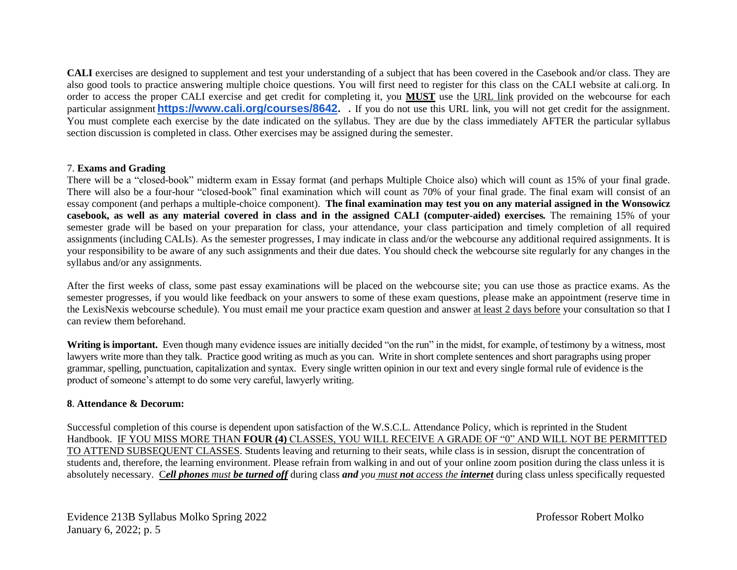**CALI** exercises are designed to supplement and test your understanding of a subject that has been covered in the Casebook and/or class. They are also good tools to practice answering multiple choice questions. You will first need to register for this class on the CALI website at cali.org. In order to access the proper CALI exercise and get credit for completing it, you **MUST** use the URL link provided on the webcourse for each particular assignment **[https://www.cali.org/courses/8642.](https://www.cali.org/courses/8642)** . If you do not use this URL link, you will not get credit for the assignment. You must complete each exercise by the date indicated on the syllabus. They are due by the class immediately AFTER the particular syllabus section discussion is completed in class. Other exercises may be assigned during the semester.

#### 7. **Exams and Grading**

There will be a "closed-book" midterm exam in Essay format (and perhaps Multiple Choice also) which will count as 15% of your final grade. There will also be a four-hour "closed-book" final examination which will count as 70% of your final grade. The final exam will consist of an essay component (and perhaps a multiple-choice component). **The final examination may test you on any material assigned in the Wonsowicz casebook, as well as any material covered in class and in the assigned CALI (computer-aided) exercises***.* The remaining 15% of your semester grade will be based on your preparation for class, your attendance, your class participation and timely completion of all required assignments (including CALIs). As the semester progresses, I may indicate in class and/or the webcourse any additional required assignments. It is your responsibility to be aware of any such assignments and their due dates. You should check the webcourse site regularly for any changes in the syllabus and/or any assignments.

After the first weeks of class, some past essay examinations will be placed on the webcourse site; you can use those as practice exams. As the semester progresses, if you would like feedback on your answers to some of these exam questions, please make an appointment (reserve time in the LexisNexis webcourse schedule). You must email me your practice exam question and answer at least 2 days before your consultation so that I can review them beforehand.

**Writing is important.** Even though many evidence issues are initially decided "on the run" in the midst, for example, of testimony by a witness, most lawyers write more than they talk. Practice good writing as much as you can. Write in short complete sentences and short paragraphs using proper grammar, spelling, punctuation, capitalization and syntax. Every single written opinion in our text and every single formal rule of evidence is the product of someone's attempt to do some very careful, lawyerly writing.

#### **8**. **Attendance & Decorum:**

Successful completion of this course is dependent upon satisfaction of the W.S.C.L. Attendance Policy, which is reprinted in the Student Handbook. IF YOU MISS MORE THAN **FOUR (4)** CLASSES, YOU WILL RECEIVE A GRADE OF "0" AND WILL NOT BE PERMITTED TO ATTEND SUBSEQUENT CLASSES. Students leaving and returning to their seats, while class is in session, disrupt the concentration of students and, therefore, the learning environment. Please refrain from walking in and out of your online zoom position during the class unless it is absolutely necessary. C*ell phones must be turned off* during class *and you must not access the internet* during class unless specifically requested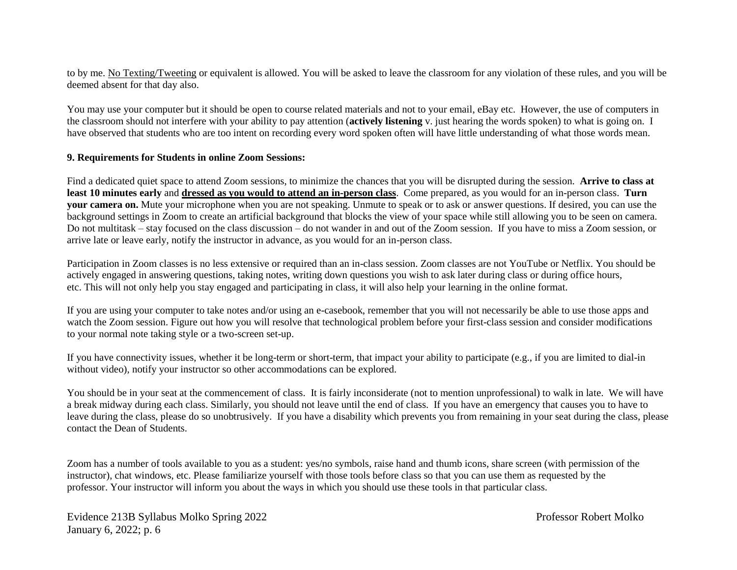to by me. No Texting/Tweeting or equivalent is allowed. You will be asked to leave the classroom for any violation of these rules, and you will be deemed absent for that day also.

You may use your computer but it should be open to course related materials and not to your email, eBay etc. However, the use of computers in the classroom should not interfere with your ability to pay attention (**actively listening** v. just hearing the words spoken) to what is going on. I have observed that students who are too intent on recording every word spoken often will have little understanding of what those words mean.

#### **9. Requirements for Students in online Zoom Sessions:**

Find a dedicated quiet space to attend Zoom sessions, to minimize the chances that you will be disrupted during the session. **Arrive to class at least 10 minutes early** and **dressed as you would to attend an in-person class**. Come prepared, as you would for an in-person class. **Turn your camera on.** Mute your microphone when you are not speaking. Unmute to speak or to ask or answer questions. If desired, you can use the background settings in Zoom to create an artificial background that blocks the view of your space while still allowing you to be seen on camera. Do not multitask – stay focused on the class discussion – do not wander in and out of the Zoom session. If you have to miss a Zoom session, or arrive late or leave early, notify the instructor in advance, as you would for an in-person class.

Participation in Zoom classes is no less extensive or required than an in-class session. Zoom classes are not YouTube or Netflix. You should be actively engaged in answering questions, taking notes, writing down questions you wish to ask later during class or during office hours, etc. This will not only help you stay engaged and participating in class, it will also help your learning in the online format.

If you are using your computer to take notes and/or using an e-casebook, remember that you will not necessarily be able to use those apps and watch the Zoom session. Figure out how you will resolve that technological problem before your first-class session and consider modifications to your normal note taking style or a two-screen set-up.

If you have connectivity issues, whether it be long-term or short-term, that impact your ability to participate (e.g., if you are limited to dial-in without video), notify your instructor so other accommodations can be explored.

You should be in your seat at the commencement of class. It is fairly inconsiderate (not to mention unprofessional) to walk in late. We will have a break midway during each class. Similarly, you should not leave until the end of class. If you have an emergency that causes you to have to leave during the class, please do so unobtrusively. If you have a disability which prevents you from remaining in your seat during the class, please contact the Dean of Students.

Zoom has a number of tools available to you as a student: yes/no symbols, raise hand and thumb icons, share screen (with permission of the instructor), chat windows, etc. Please familiarize yourself with those tools before class so that you can use them as requested by the professor. Your instructor will inform you about the ways in which you should use these tools in that particular class.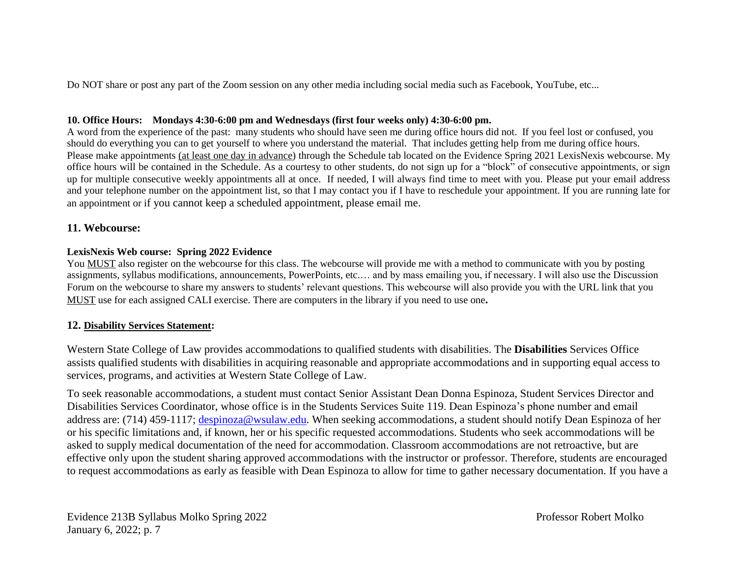Do NOT share or post any part of the Zoom session on any other media including social media such as Facebook, YouTube, etc...

#### **10. Office Hours: Mondays 4:30-6:00 pm and Wednesdays (first four weeks only) 4:30-6:00 pm.**

A word from the experience of the past: many students who should have seen me during office hours did not. If you feel lost or confused, you should do everything you can to get yourself to where you understand the material. That includes getting help from me during office hours. Please make appointments (at least one day in advance) through the Schedule tab located on the Evidence Spring 2021 LexisNexis webcourse. My office hours will be contained in the Schedule. As a courtesy to other students, do not sign up for a "block" of consecutive appointments, or sign up for multiple consecutive weekly appointments all at once. If needed, I will always find time to meet with you. Please put your email address and your telephone number on the appointment list, so that I may contact you if I have to reschedule your appointment. If you are running late for an appointment or if you cannot keep a scheduled appointment, please email me.

## **11. Webcourse:**

#### **LexisNexis Web course: Spring 2022 Evidence**

You MUST also register on the webcourse for this class. The webcourse will provide me with a method to communicate with you by posting assignments, syllabus modifications, announcements, PowerPoints, etc.… and by mass emailing you, if necessary. I will also use the Discussion Forum on the webcourse to share my answers to students' relevant questions. This webcourse will also provide you with the URL link that you MUST use for each assigned CALI exercise. There are computers in the library if you need to use one**.**

## **12. Disability Services Statement:**

Western State College of Law provides accommodations to qualified students with disabilities. The **Disabilities** Services Office assists qualified students with disabilities in acquiring reasonable and appropriate accommodations and in supporting equal access to services, programs, and activities at Western State College of Law.

To seek reasonable accommodations, a student must contact Senior Assistant Dean Donna Espinoza, Student Services Director and Disabilities Services Coordinator, whose office is in the Students Services Suite 119. Dean Espinoza's phone number and email address are: (714) 459-1117; [despinoza@wsulaw.edu.](mailto:despinoza@wsulaw.edu) When seeking accommodations, a student should notify Dean Espinoza of her or his specific limitations and, if known, her or his specific requested accommodations. Students who seek accommodations will be asked to supply medical documentation of the need for accommodation. Classroom accommodations are not retroactive, but are effective only upon the student sharing approved accommodations with the instructor or professor. Therefore, students are encouraged to request accommodations as early as feasible with Dean Espinoza to allow for time to gather necessary documentation. If you have a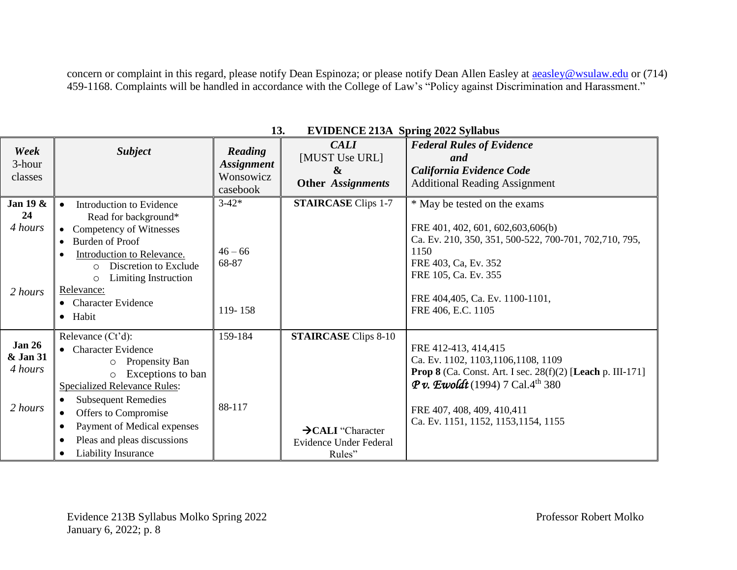concern or complaint in this regard, please notify Dean Espinoza; or please notify Dean Allen Easley at **aeasley@wsulaw.edu** or (714) 459-1168. Complaints will be handled in accordance with the College of Law's "Policy against Discrimination and Harassment."

| Week<br>3-hour<br>classes                       | <b>Subject</b>                                                                                                                                                                                                                                                                                                                                      | Reading<br><b>Assignment</b><br>Wonsowicz<br>casebook | <b>CALI</b><br>[MUST Use URL]<br>$\boldsymbol{\alpha}$<br><b>Other Assignments</b>               | <b>Federal Rules of Evidence</b><br>and<br>California Evidence Code<br><b>Additional Reading Assignment</b>                                                                                                                                                      |
|-------------------------------------------------|-----------------------------------------------------------------------------------------------------------------------------------------------------------------------------------------------------------------------------------------------------------------------------------------------------------------------------------------------------|-------------------------------------------------------|--------------------------------------------------------------------------------------------------|------------------------------------------------------------------------------------------------------------------------------------------------------------------------------------------------------------------------------------------------------------------|
| Jan 19 $\&$<br>24<br>4 hours<br>2 hours         | Introduction to Evidence<br>$\bullet$<br>Read for background*<br>• Competency of Witnesses<br>Burden of Proof<br>$\bullet$<br>Introduction to Relevance.<br>$\bullet$<br>Discretion to Exclude<br>$\circ$<br>Limiting Instruction<br>$\circ$<br>Relevance:<br>• Character Evidence<br>· Habit                                                       | $3 - 42*$<br>$46 - 66$<br>68-87<br>119-158            | <b>STAIRCASE Clips 1-7</b>                                                                       | * May be tested on the exams<br>FRE 401, 402, 601, 602, 603, 606(b)<br>Ca. Ev. 210, 350, 351, 500-522, 700-701, 702, 710, 795,<br>1150<br>FRE 403, Ca, Ev. 352<br>FRE 105, Ca. Ev. 355<br>FRE 404,405, Ca. Ev. 1100-1101,<br>FRE 406, E.C. 1105                  |
| <b>Jan 26</b><br>& Jan 31<br>4 hours<br>2 hours | Relevance (Ct'd):<br>• Character Evidence<br>Propensity Ban<br>O<br>Exceptions to ban<br>$\circ$<br><b>Specialized Relevance Rules:</b><br><b>Subsequent Remedies</b><br>$\bullet$<br>Offers to Compromise<br>$\bullet$<br>Payment of Medical expenses<br>$\bullet$<br>Pleas and pleas discussions<br>$\bullet$<br>Liability Insurance<br>$\bullet$ | 159-184<br>88-117                                     | <b>STAIRCASE</b> Clips 8-10<br>$\rightarrow$ CALI "Character<br>Evidence Under Federal<br>Rules" | FRE 412-413, 414, 415<br>Ca. Ev. 1102, 1103, 1106, 1108, 1109<br><b>Prop 8</b> (Ca. Const. Art. I sec. 28(f)(2) [Leach p. III-171]<br><b>P</b> v. Ewoldt (1994) 7 Cal.4 <sup>th</sup> 380<br>FRE 407, 408, 409, 410, 411<br>Ca. Ev. 1151, 1152, 1153, 1154, 1155 |

| 13. | <b>EVIDENCE 213A Spring 2022 Syllabus</b> |  |  |  |
|-----|-------------------------------------------|--|--|--|
|-----|-------------------------------------------|--|--|--|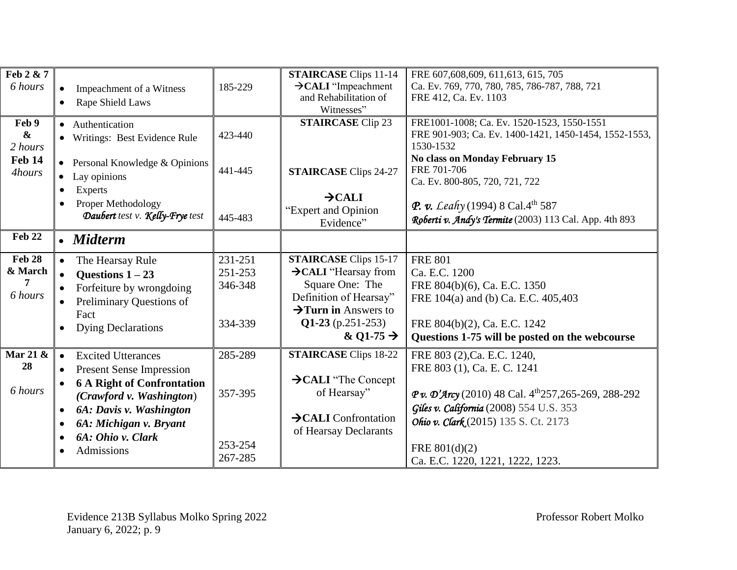| Feb 2 & 7<br>6 hours                                   | Impeachment of a Witness<br>Rape Shield Laws<br>$\bullet$                                                                                                                                                                                                                 | 185-229                                  | <b>STAIRCASE Clips 11-14</b><br>$\rightarrow$ CALI "Impeachment"<br>and Rehabilitation of<br>Witnesses"                                                                              | FRE 607,608,609, 611,613, 615, 705<br>Ca. Ev. 769, 770, 780, 785, 786-787, 788, 721<br>FRE 412, Ca. Ev. 1103                                                                                                                                                                        |
|--------------------------------------------------------|---------------------------------------------------------------------------------------------------------------------------------------------------------------------------------------------------------------------------------------------------------------------------|------------------------------------------|--------------------------------------------------------------------------------------------------------------------------------------------------------------------------------------|-------------------------------------------------------------------------------------------------------------------------------------------------------------------------------------------------------------------------------------------------------------------------------------|
| Feb 9<br>$\boldsymbol{\&}$<br>2 hours<br><b>Feb 14</b> | • Authentication<br>• Writings: Best Evidence Rule<br>• Personal Knowledge $&$ Opinions                                                                                                                                                                                   | 423-440                                  | <b>STAIRCASE Clip 23</b>                                                                                                                                                             | FRE1001-1008; Ca. Ev. 1520-1523, 1550-1551<br>FRE 901-903; Ca. Ev. 1400-1421, 1450-1454, 1552-1553,<br>1530-1532<br>No class on Monday February 15                                                                                                                                  |
| 4hours                                                 | Lay opinions<br>$\bullet$<br><b>Experts</b><br>$\bullet$<br>Proper Methodology<br>$\bullet$                                                                                                                                                                               | 441-445                                  | <b>STAIRCASE Clips 24-27</b><br>$\rightarrow$ CALI                                                                                                                                   | FRE 701-706<br>Ca. Ev. 800-805, 720, 721, 722<br><b>P. v.</b> Leahy (1994) 8 Cal. 4 <sup>th</sup> 587                                                                                                                                                                               |
|                                                        | Daubert test v. Kelly-Frye test                                                                                                                                                                                                                                           | 445-483                                  | "Expert and Opinion<br>Evidence"                                                                                                                                                     | Roberti v. Andy's Termite (2003) 113 Cal. App. 4th 893                                                                                                                                                                                                                              |
| Feb 22                                                 | • Midterm                                                                                                                                                                                                                                                                 |                                          |                                                                                                                                                                                      |                                                                                                                                                                                                                                                                                     |
| <b>Feb 28</b><br>& March<br>6 hours                    | The Hearsay Rule<br>Questions $1-23$<br>Forfeiture by wrongdoing<br>Preliminary Questions of<br>Fact<br><b>Dying Declarations</b>                                                                                                                                         | 231-251<br>251-253<br>346-348<br>334-339 | <b>STAIRCASE Clips 15-17</b><br>>CALI "Hearsay from<br>Square One: The<br>Definition of Hearsay"<br>$\rightarrow$ Turn in Answers to<br>$Q1-23$ (p.251-253)<br>& Q1-75 $\rightarrow$ | <b>FRE 801</b><br>Ca. E.C. 1200<br>FRE 804(b)(6), Ca. E.C. 1350<br>FRE 104(a) and (b) Ca. E.C. 405,403<br>FRE 804(b)(2), Ca. E.C. 1242<br>Questions 1-75 will be posted on the webcourse                                                                                            |
| Mar 21 &<br>28<br>6 hours                              | <b>Excited Utterances</b><br>$\bullet$<br><b>Present Sense Impression</b><br>$\bullet$<br><b>6 A Right of Confrontation</b><br>(Crawford v. Washington)<br>6A: Davis v. Washington<br>$\bullet$<br>6A: Michigan v. Bryant<br>$\bullet$<br>6A: Ohio v. Clark<br>Admissions | 285-289<br>357-395<br>253-254<br>267-285 | <b>STAIRCASE Clips 18-22</b><br>$\rightarrow$ CALI "The Concept"<br>of Hearsay"<br>$\rightarrow$ CALI Confrontation<br>of Hearsay Declarants                                         | FRE 803 (2), Ca. E.C. 1240,<br>FRE 803 (1), Ca. E. C. 1241<br>$Pv. \mathcal{D}'$ Arcy (2010) 48 Cal. 4 <sup>th</sup> 257,265-269, 288-292<br>Giles v. California (2008) 554 U.S. 353<br>Ohio v. Clark (2015) 135 S. Ct. 2173<br>FRE $801(d)(2)$<br>Ca. E.C. 1220, 1221, 1222, 1223. |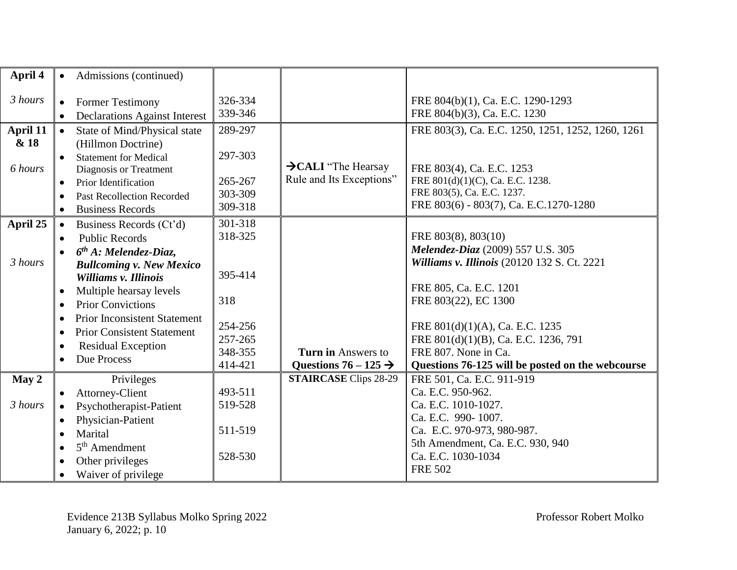| April 4                     | Admissions (continued)<br>$\bullet$                                                                                                                                                                                                                                                                                                                                                                                                        |                                                                                  |                                                             |                                                                                                                                                                                                                                                                                                                  |
|-----------------------------|--------------------------------------------------------------------------------------------------------------------------------------------------------------------------------------------------------------------------------------------------------------------------------------------------------------------------------------------------------------------------------------------------------------------------------------------|----------------------------------------------------------------------------------|-------------------------------------------------------------|------------------------------------------------------------------------------------------------------------------------------------------------------------------------------------------------------------------------------------------------------------------------------------------------------------------|
| 3 hours                     | <b>Former Testimony</b><br>$\bullet$<br><b>Declarations Against Interest</b><br>$\bullet$                                                                                                                                                                                                                                                                                                                                                  | 326-334<br>339-346                                                               |                                                             | FRE 804(b)(1), Ca. E.C. 1290-1293<br>FRE 804(b)(3), Ca. E.C. 1230                                                                                                                                                                                                                                                |
| April 11<br>& 18<br>6 hours | State of Mind/Physical state<br>$\bullet$<br>(Hillmon Doctrine)<br><b>Statement for Medical</b><br>$\bullet$<br>Diagnosis or Treatment<br>Prior Identification<br>$\bullet$<br>Past Recollection Recorded<br>$\bullet$<br><b>Business Records</b><br>$\bullet$                                                                                                                                                                             | 289-297<br>297-303<br>265-267<br>303-309<br>309-318                              | $\rightarrow$ CALI "The Hearsay<br>Rule and Its Exceptions" | FRE 803(3), Ca. E.C. 1250, 1251, 1252, 1260, 1261<br>FRE 803(4), Ca. E.C. 1253<br>FRE 801(d)(1)(C), Ca. E.C. 1238.<br>FRE 803(5), Ca. E.C. 1237.<br>FRE 803(6) - 803(7), Ca. E.C.1270-1280                                                                                                                       |
| April 25<br>3 hours         | Business Records (Ct'd)<br>$\bullet$<br><b>Public Records</b><br>$\bullet$<br>$6th$ A: Melendez-Diaz,<br>$\bullet$<br><b>Bullcoming v. New Mexico</b><br>Williams v. Illinois<br>Multiple hearsay levels<br>$\bullet$<br><b>Prior Convictions</b><br>$\bullet$<br><b>Prior Inconsistent Statement</b><br>$\bullet$<br><b>Prior Consistent Statement</b><br>$\bullet$<br><b>Residual Exception</b><br>$\bullet$<br>Due Process<br>$\bullet$ | 301-318<br>318-325<br>395-414<br>318<br>254-256<br>257-265<br>348-355<br>414-421 | Turn in Answers to<br>Questions $76 - 125 \rightarrow$      | FRE 803(8), 803(10)<br>Melendez-Diaz (2009) 557 U.S. 305<br>Williams v. Illinois (20120 132 S. Ct. 2221<br>FRE 805, Ca. E.C. 1201<br>FRE 803(22), EC 1300<br>FRE 801(d)(1)(A), Ca. E.C. 1235<br>FRE 801(d)(1)(B), Ca. E.C. 1236, 791<br>FRE 807. None in Ca.<br>Questions 76-125 will be posted on the webcourse |
| May 2<br>3 hours            | Privileges<br>Attorney-Client<br>$\bullet$<br>Psychotherapist-Patient<br>$\bullet$<br>Physician-Patient<br>$\bullet$<br>Marital<br>$\bullet$<br>$5th$ Amendment<br>$\bullet$<br>Other privileges<br>$\bullet$<br>Waiver of privilege<br>$\bullet$                                                                                                                                                                                          | 493-511<br>519-528<br>511-519<br>528-530                                         | <b>STAIRCASE</b> Clips 28-29                                | FRE 501, Ca. E.C. 911-919<br>Ca. E.C. 950-962.<br>Ca. E.C. 1010-1027.<br>Ca. E.C. 990-1007.<br>Ca. E.C. 970-973, 980-987.<br>5th Amendment, Ca. E.C. 930, 940<br>Ca. E.C. 1030-1034<br><b>FRE 502</b>                                                                                                            |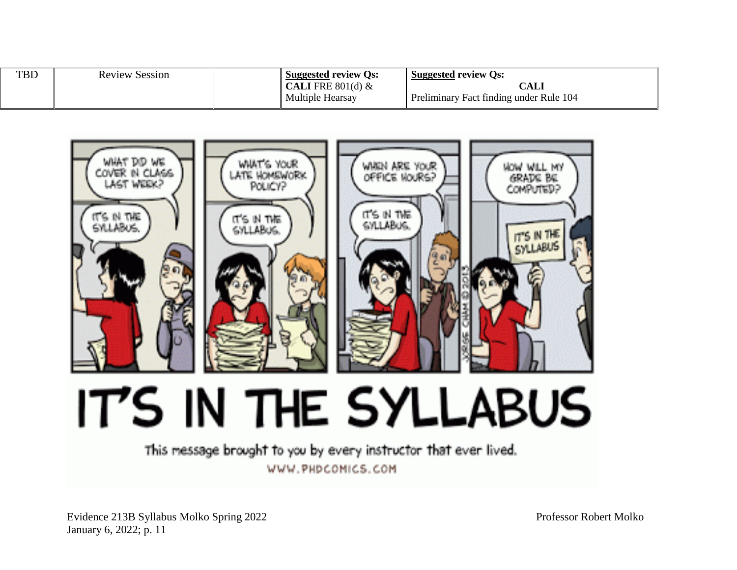| <b>TBD</b> | <b>Review Session</b> | <b>Suggested review Qs:</b> | <b>Suggested review Qs:</b>             |
|------------|-----------------------|-----------------------------|-----------------------------------------|
|            |                       | <b>CALI</b> FRE $801(d)$ &  | CALI                                    |
|            |                       | Multiple Hearsay            | Preliminary Fact finding under Rule 104 |



IT'S IN THE SYLLABUS

This message brought to you by every instructor that ever lived. WWW.PHDCOMICS.COM

Evidence 213B Syllabus Molko Spring 2022 Professor Robert Molko January 6, 2022; p. 11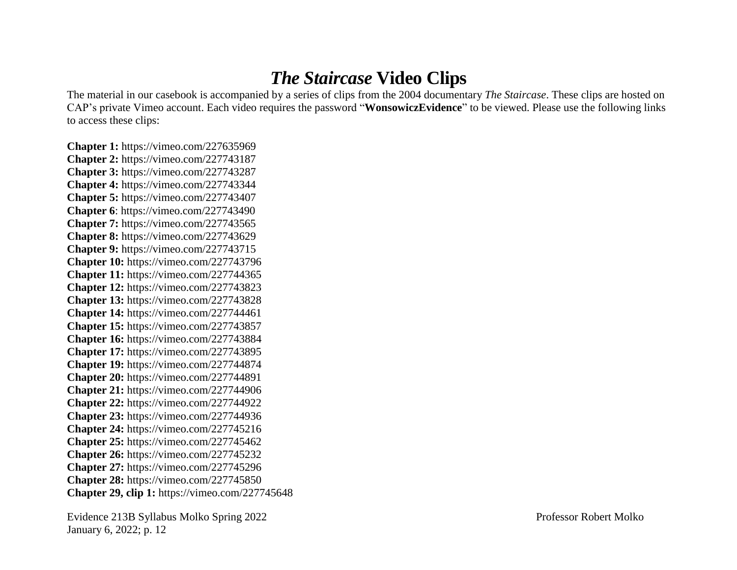# *The Staircase* **Video Clips**

The material in our casebook is accompanied by a series of clips from the 2004 documentary *The Staircase*. These clips are hosted on CAP's private Vimeo account. Each video requires the password "**WonsowiczEvidence**" to be viewed. Please use the following links to access these clips:

**Chapter 1:** https://vimeo.com/227635969 **Chapter 2:** https://vimeo.com/227743187 **Chapter 3:** https://vimeo.com/227743287 **Chapter 4:** https://vimeo.com/227743344 **Chapter 5:** https://vimeo.com/227743407 **Chapter 6**: https://vimeo.com/227743490 **Chapter 7:** https://vimeo.com/227743565 **Chapter 8:** https://vimeo.com/227743629 **Chapter 9:** https://vimeo.com/227743715 **Chapter 10:** https://vimeo.com/227743796 **Chapter 11:** https://vimeo.com/227744365 **Chapter 12:** https://vimeo.com/227743823 **Chapter 13:** https://vimeo.com/227743828 **Chapter 14:** https://vimeo.com/227744461 **Chapter 15:** https://vimeo.com/227743857 **Chapter 16:** https://vimeo.com/227743884 **Chapter 17:** https://vimeo.com/227743895 **Chapter 19:** https://vimeo.com/227744874 **Chapter 20:** https://vimeo.com/227744891 **Chapter 21:** https://vimeo.com/227744906 **Chapter 22:** https://vimeo.com/227744922 **Chapter 23:** https://vimeo.com/227744936 **Chapter 24:** https://vimeo.com/227745216 **Chapter 25:** https://vimeo.com/227745462 **Chapter 26:** https://vimeo.com/227745232 **Chapter 27:** https://vimeo.com/227745296 **Chapter 28:** https://vimeo.com/227745850 **Chapter 29, clip 1:** https://vimeo.com/227745648

Evidence 213B Syllabus Molko Spring 2022 Professor Robert Molko January 6, 2022; p. 12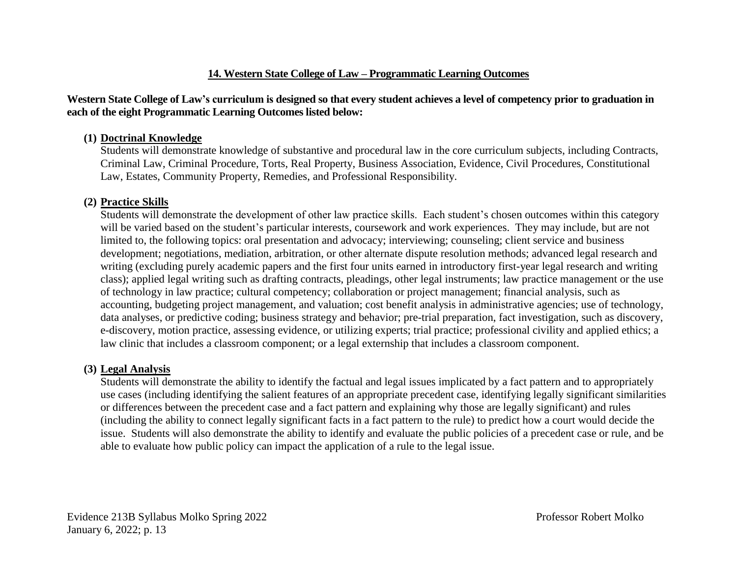## **14. Western State College of Law – Programmatic Learning Outcomes**

#### **Western State College of Law's curriculum is designed so that every student achieves a level of competency prior to graduation in each of the eight Programmatic Learning Outcomes listed below:**

#### **(1) Doctrinal Knowledge**

Students will demonstrate knowledge of substantive and procedural law in the core curriculum subjects, including Contracts, Criminal Law, Criminal Procedure, Torts, Real Property, Business Association, Evidence, Civil Procedures, Constitutional Law, Estates, Community Property, Remedies, and Professional Responsibility.

## **(2) Practice Skills**

Students will demonstrate the development of other law practice skills. Each student's chosen outcomes within this category will be varied based on the student's particular interests, coursework and work experiences. They may include, but are not limited to, the following topics: oral presentation and advocacy; interviewing; counseling; client service and business development; negotiations, mediation, arbitration, or other alternate dispute resolution methods; advanced legal research and writing (excluding purely academic papers and the first four units earned in introductory first-year legal research and writing class); applied legal writing such as drafting contracts, pleadings, other legal instruments; law practice management or the use of technology in law practice; cultural competency; collaboration or project management; financial analysis, such as accounting, budgeting project management, and valuation; cost benefit analysis in administrative agencies; use of technology, data analyses, or predictive coding; business strategy and behavior; pre-trial preparation, fact investigation, such as discovery, e-discovery, motion practice, assessing evidence, or utilizing experts; trial practice; professional civility and applied ethics; a law clinic that includes a classroom component; or a legal externship that includes a classroom component.

## **(3) Legal Analysis**

Students will demonstrate the ability to identify the factual and legal issues implicated by a fact pattern and to appropriately use cases (including identifying the salient features of an appropriate precedent case, identifying legally significant similarities or differences between the precedent case and a fact pattern and explaining why those are legally significant) and rules (including the ability to connect legally significant facts in a fact pattern to the rule) to predict how a court would decide the issue. Students will also demonstrate the ability to identify and evaluate the public policies of a precedent case or rule, and be able to evaluate how public policy can impact the application of a rule to the legal issue.